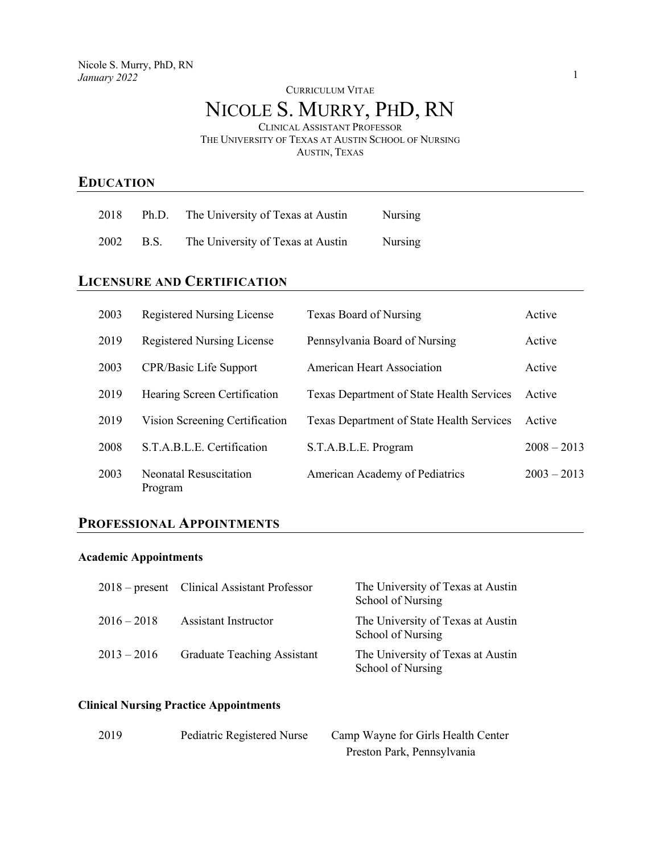#### CURRICULUM VITAE

# NICOLE S. MURRY, PHD, RN

CLINICAL ASSISTANT PROFESSOR THE UNIVERSITY OF TEXAS AT AUSTIN SCHOOL OF NURSING

AUSTIN, TEXAS

## **EDUCATION**

| 2018 |           | Ph.D. The University of Texas at Austin | Nursing |
|------|-----------|-----------------------------------------|---------|
|      | 2002 B.S. | The University of Texas at Austin       | Nursing |

# **LICENSURE AND CERTIFICATION**

| 2003 | <b>Registered Nursing License</b>        | Texas Board of Nursing                    | Active        |
|------|------------------------------------------|-------------------------------------------|---------------|
| 2019 | <b>Registered Nursing License</b>        | Pennsylvania Board of Nursing             | Active        |
| 2003 | CPR/Basic Life Support                   | <b>American Heart Association</b>         | Active        |
| 2019 | Hearing Screen Certification             | Texas Department of State Health Services | Active        |
| 2019 | Vision Screening Certification           | Texas Department of State Health Services | Active        |
| 2008 | S.T.A.B.L.E. Certification               | S.T.A.B.L.E. Program                      | $2008 - 2013$ |
| 2003 | <b>Neonatal Resuscitation</b><br>Program | American Academy of Pediatrics            | $2003 - 2013$ |

## **PROFESSIONAL APPOINTMENTS**

#### **Academic Appointments**

|               | 2018 – present Clinical Assistant Professor | The University of Texas at Austin<br>School of Nursing |
|---------------|---------------------------------------------|--------------------------------------------------------|
| $2016 - 2018$ | Assistant Instructor                        | The University of Texas at Austin<br>School of Nursing |
| $2013 - 2016$ | <b>Graduate Teaching Assistant</b>          | The University of Texas at Austin<br>School of Nursing |

### **Clinical Nursing Practice Appointments**

| 2019 | Pediatric Registered Nurse | Camp Wayne for Girls Health Center |  |  |  |
|------|----------------------------|------------------------------------|--|--|--|
|      |                            | Preston Park, Pennsylvania         |  |  |  |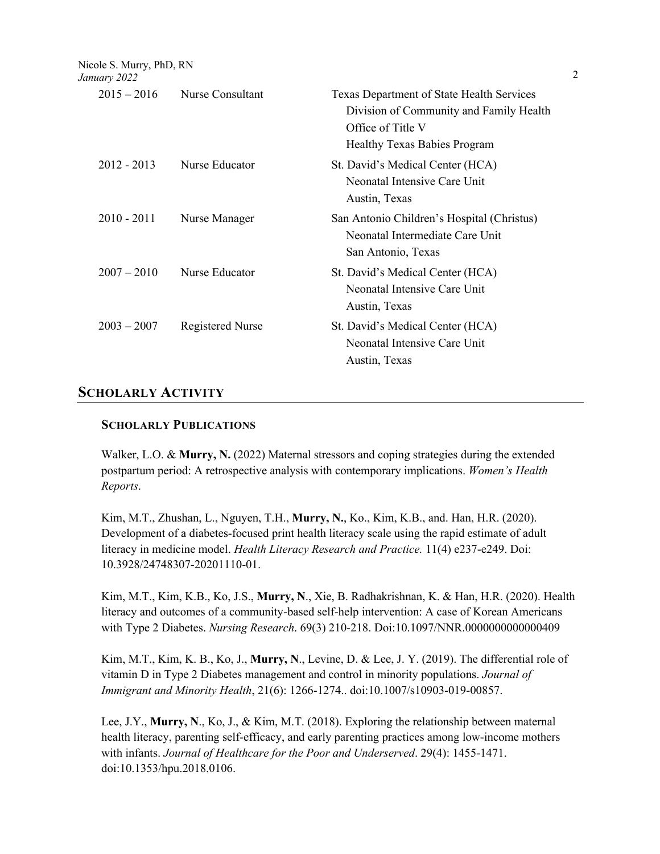Nicole S. Murry, PhD, RN

| January 2022  |                         |                                                                                                                                                         | 2 |
|---------------|-------------------------|---------------------------------------------------------------------------------------------------------------------------------------------------------|---|
| $2015 - 2016$ | Nurse Consultant        | <b>Texas Department of State Health Services</b><br>Division of Community and Family Health<br>Office of Title V<br><b>Healthy Texas Babies Program</b> |   |
| $2012 - 2013$ | Nurse Educator          | St. David's Medical Center (HCA)<br>Neonatal Intensive Care Unit<br>Austin, Texas                                                                       |   |
| $2010 - 2011$ | Nurse Manager           | San Antonio Children's Hospital (Christus)<br>Neonatal Intermediate Care Unit<br>San Antonio, Texas                                                     |   |
| $2007 - 2010$ | Nurse Educator          | St. David's Medical Center (HCA)<br>Neonatal Intensive Care Unit<br>Austin, Texas                                                                       |   |
| $2003 - 2007$ | <b>Registered Nurse</b> | St. David's Medical Center (HCA)<br>Neonatal Intensive Care Unit<br>Austin, Texas                                                                       |   |
|               |                         |                                                                                                                                                         |   |

### **SCHOLARLY ACTIVITY**

#### **SCHOLARLY PUBLICATIONS**

Walker, L.O. & **Murry, N.** (2022) Maternal stressors and coping strategies during the extended postpartum period: A retrospective analysis with contemporary implications. *Women's Health Reports*.

Kim, M.T., Zhushan, L., Nguyen, T.H., **Murry, N.**, Ko., Kim, K.B., and. Han, H.R. (2020). Development of a diabetes-focused print health literacy scale using the rapid estimate of adult literacy in medicine model. *Health Literacy Research and Practice.* 11(4) e237-e249. Doi: 10.3928/24748307-20201110-01.

Kim, M.T., Kim, K.B., Ko, J.S., **Murry, N**., Xie, B. Radhakrishnan, K. & Han, H.R. (2020). Health literacy and outcomes of a community-based self-help intervention: A case of Korean Americans with Type 2 Diabetes. *Nursing Research*. 69(3) 210-218. Doi:10.1097/NNR.0000000000000409

Kim, M.T., Kim, K. B., Ko, J., **Murry, N**., Levine, D. & Lee, J. Y. (2019). The differential role of vitamin D in Type 2 Diabetes management and control in minority populations. *Journal of Immigrant and Minority Health*, 21(6): 1266-1274.. doi:10.1007/s10903-019-00857.

Lee, J.Y., **Murry, N**., Ko, J., & Kim, M.T. (2018). Exploring the relationship between maternal health literacy, parenting self-efficacy, and early parenting practices among low-income mothers with infants. *Journal of Healthcare for the Poor and Underserved*. 29(4): 1455-1471. doi:10.1353/hpu.2018.0106.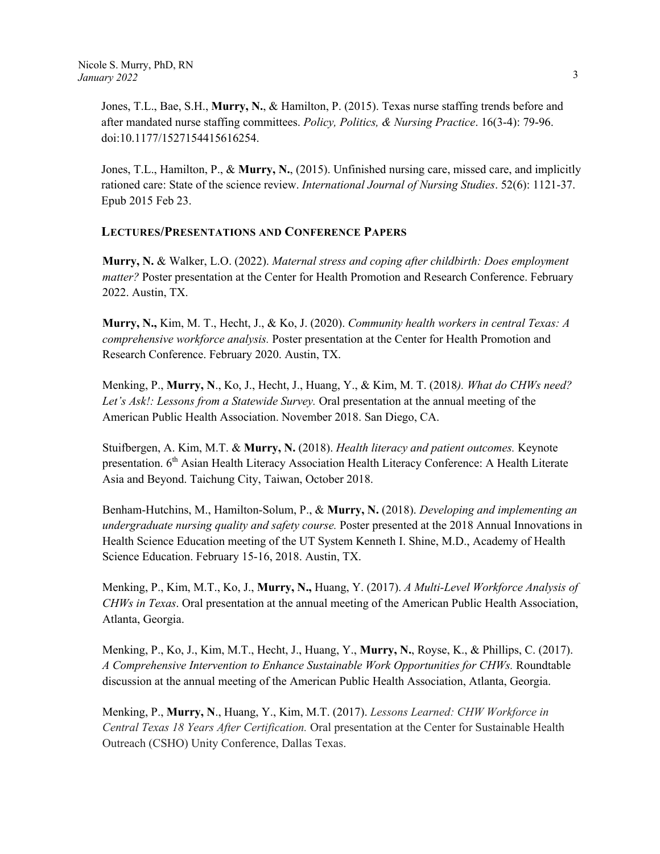Jones, T.L., Bae, S.H., **Murry, N.**, & Hamilton, P. (2015). Texas nurse staffing trends before and after mandated nurse staffing committees. *Policy, Politics, & Nursing Practice*. 16(3-4): 79-96. doi:10.1177/1527154415616254.

Jones, T.L., Hamilton, P., & **Murry, N.**, (2015). Unfinished nursing care, missed care, and implicitly rationed care: State of the science review. *International Journal of Nursing Studies*. 52(6): 1121-37. Epub 2015 Feb 23.

### **LECTURES/PRESENTATIONS AND CONFERENCE PAPERS**

**Murry, N.** & Walker, L.O. (2022). *Maternal stress and coping after childbirth: Does employment matter?* Poster presentation at the Center for Health Promotion and Research Conference. February 2022. Austin, TX.

**Murry, N.,** Kim, M. T., Hecht, J., & Ko, J. (2020). *Community health workers in central Texas: A comprehensive workforce analysis.* Poster presentation at the Center for Health Promotion and Research Conference. February 2020. Austin, TX.

Menking, P., **Murry, N**., Ko, J., Hecht, J., Huang, Y., & Kim, M. T. (2018*). What do CHWs need? Let's Ask!: Lessons from a Statewide Survey.* Oral presentation at the annual meeting of the American Public Health Association. November 2018. San Diego, CA.

Stuifbergen, A. Kim, M.T. & **Murry, N.** (2018). *Health literacy and patient outcomes.* Keynote presentation. 6<sup>th</sup> Asian Health Literacy Association Health Literacy Conference: A Health Literate Asia and Beyond. Taichung City, Taiwan, October 2018.

Benham-Hutchins, M., Hamilton-Solum, P., & **Murry, N.** (2018). *Developing and implementing an undergraduate nursing quality and safety course.* Poster presented at the 2018 Annual Innovations in Health Science Education meeting of the UT System Kenneth I. Shine, M.D., Academy of Health Science Education. February 15-16, 2018. Austin, TX.

Menking, P., Kim, M.T., Ko, J., **Murry, N.,** Huang, Y. (2017). *A Multi-Level Workforce Analysis of CHWs in Texas*. Oral presentation at the annual meeting of the American Public Health Association, Atlanta, Georgia.

Menking, P., Ko, J., Kim, M.T., Hecht, J., Huang, Y., **Murry, N.**, Royse, K., & Phillips, C. (2017). *A Comprehensive Intervention to Enhance Sustainable Work Opportunities for CHWs.* Roundtable discussion at the annual meeting of the American Public Health Association, Atlanta, Georgia.

Menking, P., **Murry, N**., Huang, Y., Kim, M.T. (2017). *Lessons Learned: CHW Workforce in Central Texas 18 Years After Certification.* Oral presentation at the Center for Sustainable Health Outreach (CSHO) Unity Conference, Dallas Texas.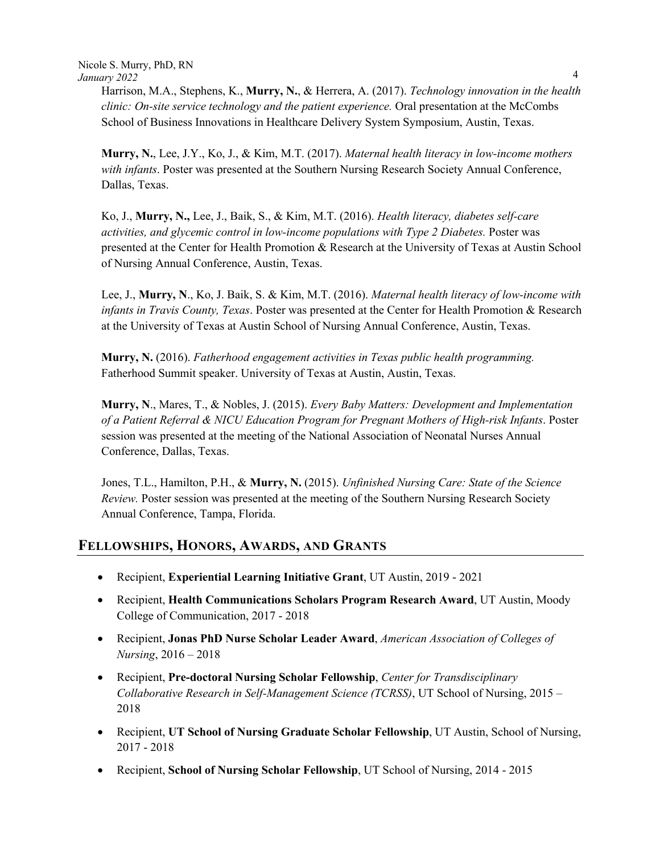Harrison, M.A., Stephens, K., **Murry, N.**, & Herrera, A. (2017). *Technology innovation in the health clinic: On-site service technology and the patient experience.* Oral presentation at the McCombs School of Business Innovations in Healthcare Delivery System Symposium, Austin, Texas.

**Murry, N.**, Lee, J.Y., Ko, J., & Kim, M.T. (2017). *Maternal health literacy in low-income mothers with infants*. Poster was presented at the Southern Nursing Research Society Annual Conference, Dallas, Texas.

Ko, J., **Murry, N.,** Lee, J., Baik, S., & Kim, M.T. (2016). *Health literacy, diabetes self-care activities, and glycemic control in low-income populations with Type 2 Diabetes.* Poster was presented at the Center for Health Promotion & Research at the University of Texas at Austin School of Nursing Annual Conference, Austin, Texas.

Lee, J., **Murry, N**., Ko, J. Baik, S. & Kim, M.T. (2016). *Maternal health literacy of low-income with infants in Travis County, Texas*. Poster was presented at the Center for Health Promotion & Research at the University of Texas at Austin School of Nursing Annual Conference, Austin, Texas.

**Murry, N.** (2016). *Fatherhood engagement activities in Texas public health programming.* Fatherhood Summit speaker. University of Texas at Austin, Austin, Texas.

**Murry, N**., Mares, T., & Nobles, J. (2015). *Every Baby Matters: Development and Implementation of a Patient Referral & NICU Education Program for Pregnant Mothers of High-risk Infants*. Poster session was presented at the meeting of the National Association of Neonatal Nurses Annual Conference, Dallas, Texas.

Jones, T.L., Hamilton, P.H., & **Murry, N.** (2015). *Unfinished Nursing Care: State of the Science Review.* Poster session was presented at the meeting of the Southern Nursing Research Society Annual Conference, Tampa, Florida.

# **FELLOWSHIPS, HONORS, AWARDS, AND GRANTS**

- Recipient, **Experiential Learning Initiative Grant**, UT Austin, 2019 2021
- Recipient, **Health Communications Scholars Program Research Award**, UT Austin, Moody College of Communication, 2017 - 2018
- Recipient, **Jonas PhD Nurse Scholar Leader Award**, *American Association of Colleges of Nursing*, 2016 – 2018
- Recipient, **Pre-doctoral Nursing Scholar Fellowship**, *Center for Transdisciplinary Collaborative Research in Self-Management Science (TCRSS)*, UT School of Nursing, 2015 – 2018
- Recipient, **UT School of Nursing Graduate Scholar Fellowship**, UT Austin, School of Nursing, 2017 - 2018
- Recipient, **School of Nursing Scholar Fellowship**, UT School of Nursing, 2014 2015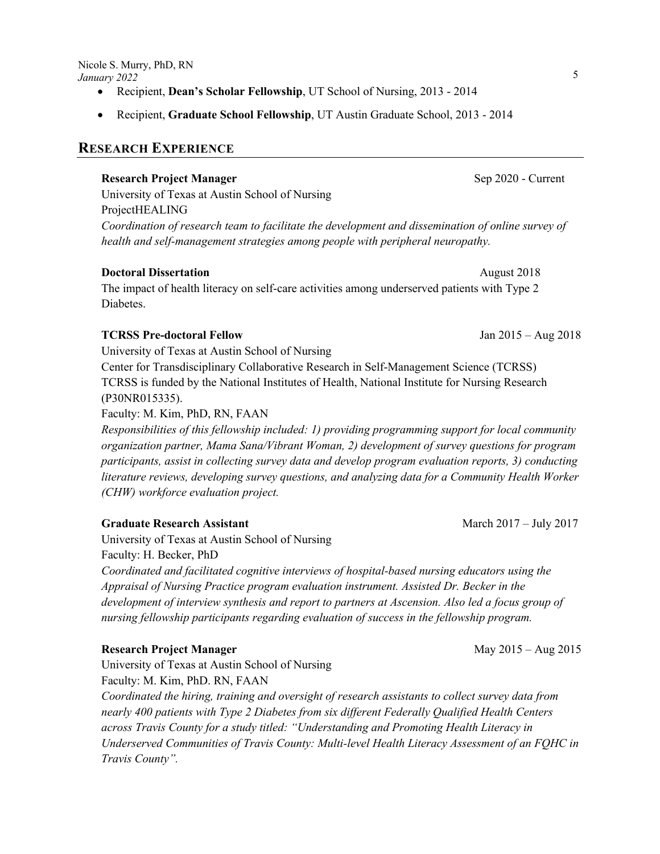- Recipient, **Dean's Scholar Fellowship**, UT School of Nursing, 2013 2014
- Recipient, **Graduate School Fellowship**, UT Austin Graduate School, 2013 2014

### **RESEARCH EXPERIENCE**

#### **Research Project Manager**  Sep 2020 - Current

University of Texas at Austin School of Nursing ProjectHEALING *Coordination of research team to facilitate the development and dissemination of online survey of health and self-management strategies among people with peripheral neuropathy.* 

#### **Doctoral Dissertation August 2018**

The impact of health literacy on self-care activities among underserved patients with Type 2 Diabetes.

#### **TCRSS Pre-doctoral Fellow** Jan 2015 – Aug 2018

University of Texas at Austin School of Nursing

Center for Transdisciplinary Collaborative Research in Self-Management Science (TCRSS) TCRSS is funded by the National Institutes of Health, National Institute for Nursing Research (P30NR015335).

Faculty: M. Kim, PhD, RN, FAAN

*Responsibilities of this fellowship included: 1) providing programming support for local community organization partner, Mama Sana/Vibrant Woman, 2) development of survey questions for program participants, assist in collecting survey data and develop program evaluation reports, 3) conducting literature reviews, developing survey questions, and analyzing data for a Community Health Worker (CHW) workforce evaluation project.*

#### **Graduate Research Assistant** March 2017 – July 2017

University of Texas at Austin School of Nursing Faculty: H. Becker, PhD

*Coordinated and facilitated cognitive interviews of hospital-based nursing educators using the Appraisal of Nursing Practice program evaluation instrument. Assisted Dr. Becker in the development of interview synthesis and report to partners at Ascension. Also led a focus group of nursing fellowship participants regarding evaluation of success in the fellowship program.*

#### **Research Project Manager**  May 2015 – Aug 2015

University of Texas at Austin School of Nursing Faculty: M. Kim, PhD. RN, FAAN

*Coordinated the hiring, training and oversight of research assistants to collect survey data from nearly 400 patients with Type 2 Diabetes from six different Federally Qualified Health Centers across Travis County for a study titled: "Understanding and Promoting Health Literacy in Underserved Communities of Travis County: Multi-level Health Literacy Assessment of an FQHC in Travis County".*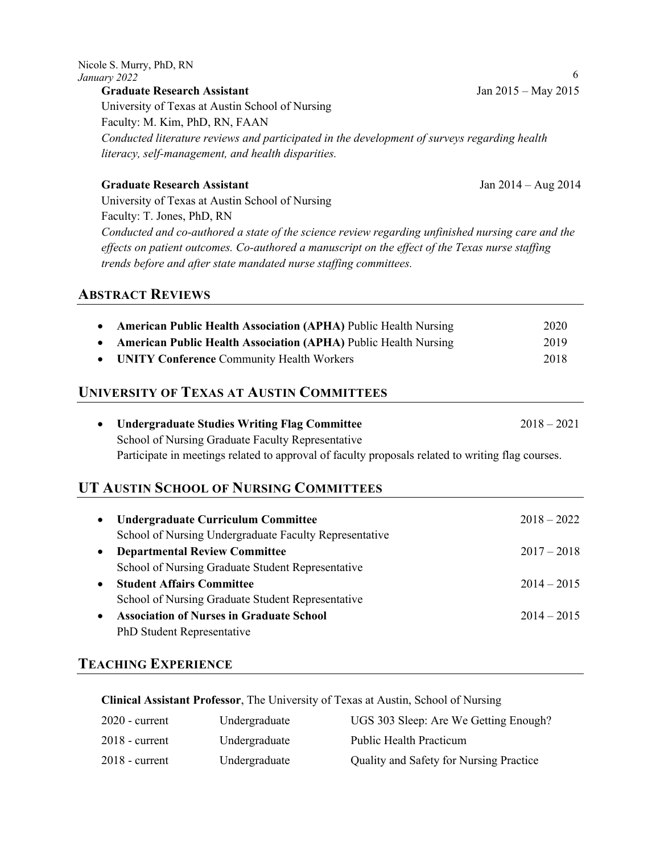| University of Texas at Austin School of Nursing                                                   |                       |
|---------------------------------------------------------------------------------------------------|-----------------------|
| Faculty: M. Kim, PhD, RN, FAAN                                                                    |                       |
| Conducted literature reviews and participated in the development of surveys regarding health      |                       |
| literacy, self-management, and health disparities.                                                |                       |
| <b>Graduate Research Assistant</b>                                                                | Jan $2014 - Aug 2014$ |
| University of Texas at Austin School of Nursing                                                   |                       |
| Faculty: T. Jones, PhD, RN                                                                        |                       |
| Conducted and co-authored a state of the science review regarding unfinished nursing care and the |                       |
| effects on patient outcomes. Co-authored a manuscript on the effect of the Texas nurse staffing   |                       |
| trends before and after state mandated nurse staffing committees.                                 |                       |
| <b>ABSTRACT REVIEWS</b>                                                                           |                       |
| <b>American Public Health Association (APHA) Public Health Nursing</b><br>٠                       | 2020                  |
| <b>American Public Health Association (APHA) Public Health Nursing</b><br>$\bullet$               | 2019                  |

# **UNIVERSITY OF TEXAS AT AUSTIN COMMITTEES**

| • Undergraduate Studies Writing Flag Committee                                                    | $2018 - 2021$ |
|---------------------------------------------------------------------------------------------------|---------------|
| School of Nursing Graduate Faculty Representative                                                 |               |
| Participate in meetings related to approval of faculty proposals related to writing flag courses. |               |

• **UNITY Conference** Community Health Workers 2018

# **UT AUSTIN SCHOOL OF NURSING COMMITTEES**

| $\bullet$ | <b>Undergraduate Curriculum Committee</b>              | $2018 - 2022$ |
|-----------|--------------------------------------------------------|---------------|
|           | School of Nursing Undergraduate Faculty Representative |               |
| $\bullet$ | <b>Departmental Review Committee</b>                   | $2017 - 2018$ |
|           | School of Nursing Graduate Student Representative      |               |
| $\bullet$ | <b>Student Affairs Committee</b>                       | $2014 - 2015$ |
|           | School of Nursing Graduate Student Representative      |               |
| $\bullet$ | <b>Association of Nurses in Graduate School</b>        | $2014 - 2015$ |
|           | PhD Student Representative                             |               |

# **TEACHING EXPERIENCE**

**Clinical Assistant Professor**, The University of Texas at Austin, School of Nursing

| $2020$ - current | Undergraduate | UGS 303 Sleep: Are We Getting Enough?   |
|------------------|---------------|-----------------------------------------|
| $2018$ - current | Undergraduate | Public Health Practicum                 |
| $2018$ - current | Undergraduate | Quality and Safety for Nursing Practice |

**Graduate Research Assistant**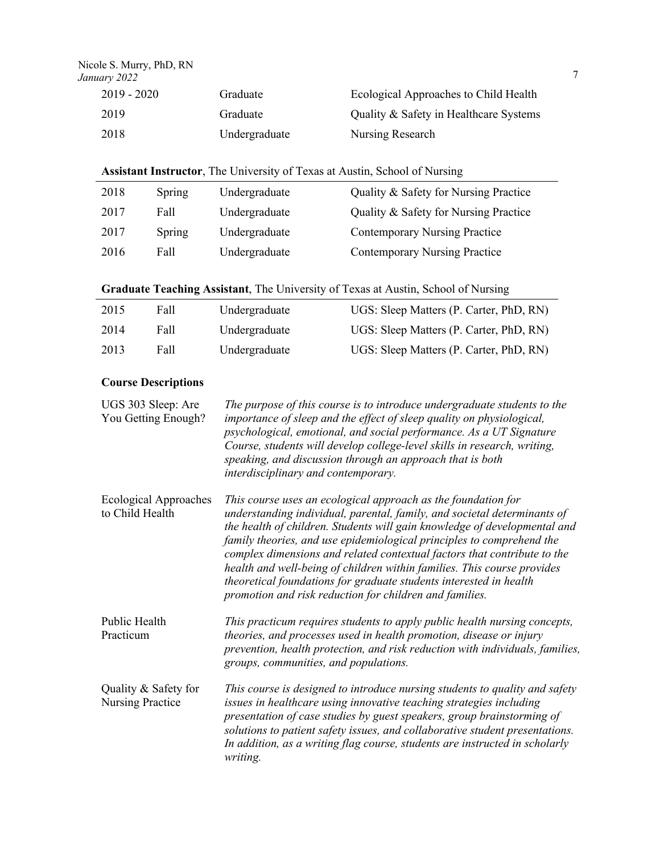| January 2022<br>$2019 - 2020$ | Graduate |                                   | 7<br>Ecological Approaches to Child Health |
|-------------------------------|----------|-----------------------------------|--------------------------------------------|
| 2019                          | Graduate |                                   | Quality & Safety in Healthcare Systems     |
| 2018                          |          | Nursing Research<br>Undergraduate |                                            |

| 2018 | Spring | Undergraduate | Quality & Safety for Nursing Practice |
|------|--------|---------------|---------------------------------------|
| 2017 | Fall   | Undergraduate | Quality & Safety for Nursing Practice |
| 2017 | Spring | Undergraduate | <b>Contemporary Nursing Practice</b>  |
| 2016 | Fall   | Undergraduate | <b>Contemporary Nursing Practice</b>  |

| Graduate Teaching Assistant, The University of Texas at Austin, School of Nursing |  |  |  |  |  |
|-----------------------------------------------------------------------------------|--|--|--|--|--|
|                                                                                   |  |  |  |  |  |

| 2015 | Fall | Undergraduate | UGS: Sleep Matters (P. Carter, PhD, RN) |  |
|------|------|---------------|-----------------------------------------|--|
| 2014 | Fall | Undergraduate | UGS: Sleep Matters (P. Carter, PhD, RN) |  |
| 2013 | Fall | Undergraduate | UGS: Sleep Matters (P. Carter, PhD, RN) |  |

# **Course Descriptions**

| UGS 303 Sleep: Are<br>You Getting Enough?       | The purpose of this course is to introduce undergraduate students to the<br>importance of sleep and the effect of sleep quality on physiological,<br>psychological, emotional, and social performance. As a UT Signature<br>Course, students will develop college-level skills in research, writing,<br>speaking, and discussion through an approach that is both<br>interdisciplinary and contemporary.                                                                                                                                                                                |
|-------------------------------------------------|-----------------------------------------------------------------------------------------------------------------------------------------------------------------------------------------------------------------------------------------------------------------------------------------------------------------------------------------------------------------------------------------------------------------------------------------------------------------------------------------------------------------------------------------------------------------------------------------|
| <b>Ecological Approaches</b><br>to Child Health | This course uses an ecological approach as the foundation for<br>understanding individual, parental, family, and societal determinants of<br>the health of children. Students will gain knowledge of developmental and<br>family theories, and use epidemiological principles to comprehend the<br>complex dimensions and related contextual factors that contribute to the<br>health and well-being of children within families. This course provides<br>theoretical foundations for graduate students interested in health<br>promotion and risk reduction for children and families. |
| Public Health<br>Practicum                      | This practicum requires students to apply public health nursing concepts,<br>theories, and processes used in health promotion, disease or injury<br>prevention, health protection, and risk reduction with individuals, families,<br>groups, communities, and populations.                                                                                                                                                                                                                                                                                                              |
| Quality & Safety for<br><b>Nursing Practice</b> | This course is designed to introduce nursing students to quality and safety<br>issues in healthcare using innovative teaching strategies including<br>presentation of case studies by guest speakers, group brainstorming of<br>solutions to patient safety issues, and collaborative student presentations.<br>In addition, as a writing flag course, students are instructed in scholarly<br>writing.                                                                                                                                                                                 |